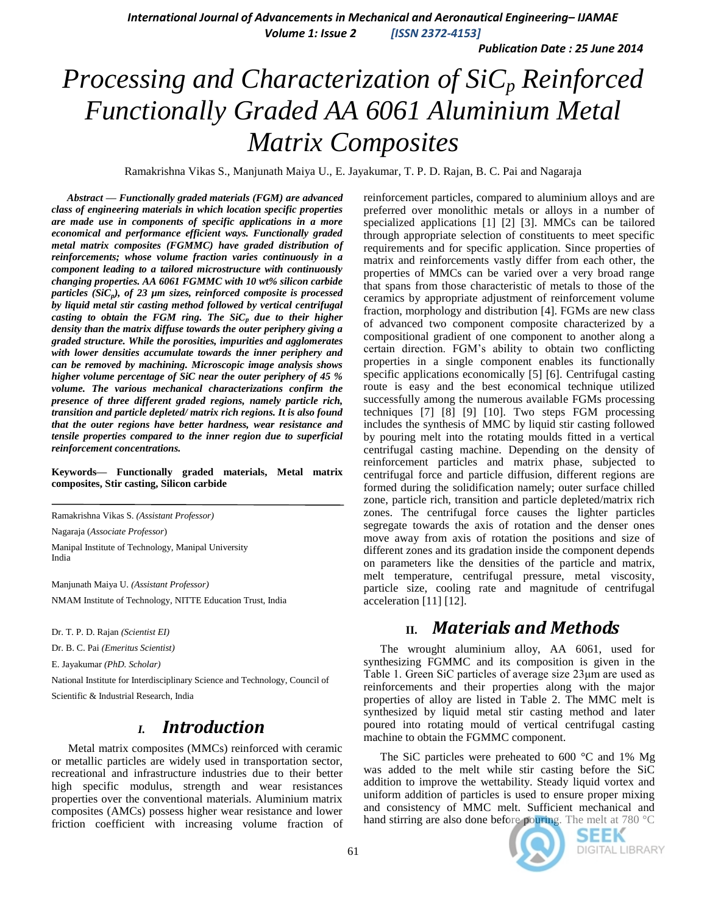*International Journal of Advancements in Mechanical and Aeronautical Engineering– IJAMAE*

*Volume 1: Issue 2 [ISSN 2372-4153]*

*Publication Date : 25 June 2014*

# *Processing and Characterization of SiC<sup>p</sup> Reinforced Functionally Graded AA 6061 Aluminium Metal Matrix Composites*

Ramakrishna Vikas S., Manjunath Maiya U., E. Jayakumar, T. P. D. Rajan, B. C. Pai and Nagaraja

*Abstract* **—** *Functionally graded materials (FGM) are advanced class of engineering materials in which location specific properties are made use in components of specific applications in a more economical and performance efficient ways. Functionally graded metal matrix composites (FGMMC) have graded distribution of reinforcements; whose volume fraction varies continuously in a component leading to a tailored microstructure with continuously changing properties. AA 6061 FGMMC with 10 wt% silicon carbide particles (SiC<sup>p</sup> ), of 23 µm sizes, reinforced composite is processed by liquid metal stir casting method followed by vertical centrifugal casting to obtain the FGM ring. The SiC<sup>p</sup> due to their higher density than the matrix diffuse towards the outer periphery giving a graded structure. While the porosities, impurities and agglomerates with lower densities accumulate towards the inner periphery and can be removed by machining. Microscopic image analysis shows higher volume percentage of SiC near the outer periphery of 45 % volume. The various mechanical characterizations confirm the presence of three different graded regions, namely particle rich, transition and particle depleted/ matrix rich regions. It is also found that the outer regions have better hardness, wear resistance and tensile properties compared to the inner region due to superficial reinforcement concentrations.*

**Keywords— Functionally graded materials, Metal matrix composites, Stir casting, Silicon carbide**

Ramakrishna Vikas S. *(Assistant Professor)*

Nagaraja (*Associate Professor*)

Manipal Institute of Technology, Manipal University India

Manjunath Maiya U. *(Assistant Professor)* NMAM Institute of Technology, NITTE Education Trust, India

Dr. T. P. D. Rajan *(Scientist EI)*

Dr. B. C. Pai *(Emeritus Scientist)*

E. Jayakumar *(PhD. Scholar)*

National Institute for Interdisciplinary Science and Technology, Council of

Scientific & Industrial Research, India

# *I. Introduction*

Metal matrix composites (MMCs) reinforced with ceramic or metallic particles are widely used in transportation sector, recreational and infrastructure industries due to their better high specific modulus, strength and wear resistances properties over the conventional materials. Aluminium matrix composites (AMCs) possess higher wear resistance and lower friction coefficient with increasing volume fraction of reinforcement particles, compared to aluminium alloys and are preferred over monolithic metals or alloys in a number of specialized applications [1] [2] [3]. MMCs can be tailored through appropriate selection of constituents to meet specific requirements and for specific application. Since properties of matrix and reinforcements vastly differ from each other, the properties of MMCs can be varied over a very broad range that spans from those characteristic of metals to those of the ceramics by appropriate adjustment of reinforcement volume fraction, morphology and distribution [4]. FGMs are new class of advanced two component composite characterized by a compositional gradient of one component to another along a certain direction. FGM's ability to obtain two conflicting properties in a single component enables its functionally specific applications economically [5] [6]. Centrifugal casting route is easy and the best economical technique utilized successfully among the numerous available FGMs processing techniques [7] [8] [9] [10]. Two steps FGM processing includes the synthesis of MMC by liquid stir casting followed by pouring melt into the rotating moulds fitted in a vertical centrifugal casting machine. Depending on the density of reinforcement particles and matrix phase, subjected to centrifugal force and particle diffusion, different regions are formed during the solidification namely; outer surface chilled zone, particle rich, transition and particle depleted/matrix rich zones. The centrifugal force causes the lighter particles segregate towards the axis of rotation and the denser ones move away from axis of rotation the positions and size of different zones and its gradation inside the component depends on parameters like the densities of the particle and matrix, melt temperature, centrifugal pressure, metal viscosity, particle size, cooling rate and magnitude of centrifugal acceleration [11] [12].

# **II.** *Materials and Methods*

The wrought aluminium alloy, AA 6061, used for synthesizing FGMMC and its composition is given in the Table 1. Green SiC particles of average size 23μm are used as reinforcements and their properties along with the major properties of alloy are listed in Table 2. The MMC melt is synthesized by liquid metal stir casting method and later poured into rotating mould of vertical centrifugal casting machine to obtain the FGMMC component.

The SiC particles were preheated to 600 °C and 1% Mg was added to the melt while stir casting before the SiC addition to improve the wettability. Steady liquid vortex and uniform addition of particles is used to ensure proper mixing and consistency of MMC melt. Sufficient mechanical and hand stirring are also done before pouring. The melt at 780 °C



SEEK **DIGITAL LIBRARY**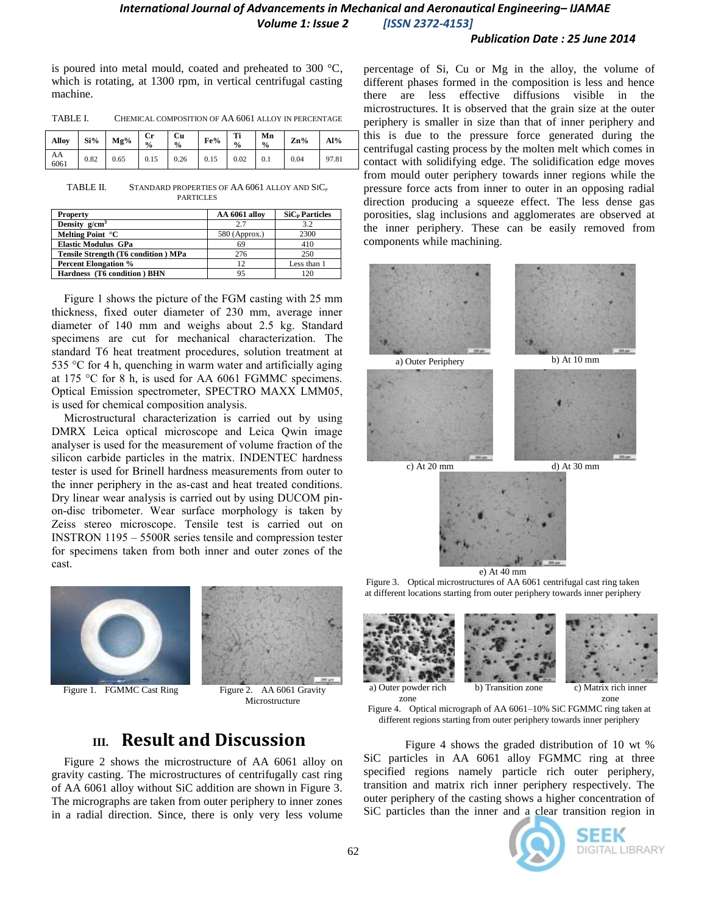#### *Publication Date : 25 June 2014*

is poured into metal mould, coated and preheated to 300 °C, which is rotating, at 1300 rpm, in vertical centrifugal casting machine.

| TABLE I. | CHEMICAL COMPOSITION OF AA 6061 ALLOY IN PERCENTAGE |
|----------|-----------------------------------------------------|
|----------|-----------------------------------------------------|

| Alloy      |      | $Si\%$ $Mg\%$ | $ $ Cr<br>$\frac{0}{0}$ | Cu<br>$\frac{6}{6}$         | Fe% | Ti<br>$\frac{0}{0}$ | $\blacksquare$ Mn<br>$\frac{6}{9}$ | $\mathbf{Zn}_{\mathbf{0}}^{\mathbf{o}}$ | $AA\%$ |
|------------|------|---------------|-------------------------|-----------------------------|-----|---------------------|------------------------------------|-----------------------------------------|--------|
| AA<br>6061 | 0.82 | 0.65          |                         | $0.15$ $0.26$ $0.15$ $0.02$ |     |                     | $\vert 0.1 \vert$                  | 0.04                                    | 97.81  |

TABLE II. STANDARD PROPERTIES OF AA 6061 ALLOY AND SIC<sub>p</sub> **PARTICLES** 

| <b>Property</b>                            | AA 6061 alloy   | $SiCP$ Particles |
|--------------------------------------------|-----------------|------------------|
| Density $g/cm3$                            | 2.7             | 3.2              |
| Melting Point °C                           | $580$ (Approx.) | 2300             |
| <b>Elastic Modulus GPa</b>                 | 69              | 410              |
| <b>Tensile Strength (T6 condition) MPa</b> | 276             | 250              |
| <b>Percent Elongation %</b>                | 12              | Less than 1      |
| Hardness (T6 condition) BHN                |                 |                  |

Figure 1 shows the picture of the FGM casting with 25 mm thickness, fixed outer diameter of 230 mm, average inner diameter of 140 mm and weighs about 2.5 kg. Standard specimens are cut for mechanical characterization. The standard T6 heat treatment procedures, solution treatment at 535 °C for 4 h, quenching in warm water and artificially aging at 175 °C for 8 h, is used for AA 6061 FGMMC specimens. Optical Emission spectrometer, SPECTRO MAXX LMM05, is used for chemical composition analysis.

Microstructural characterization is carried out by using DMRX Leica optical microscope and Leica Qwin image analyser is used for the measurement of volume fraction of the silicon carbide particles in the matrix. INDENTEC hardness tester is used for Brinell hardness measurements from outer to the inner periphery in the as-cast and heat treated conditions. Dry linear wear analysis is carried out by using DUCOM pinon-disc tribometer. Wear surface morphology is taken by Zeiss stereo microscope. Tensile test is carried out on INSTRON 1195 – 5500R series tensile and compression tester for specimens taken from both inner and outer zones of the cast.



Figure 1. FGMMC Cast Ring Figure 2. AA 6061 Gravity



Microstructure

# **III. Result and Discussion**

Figure 2 shows the microstructure of AA 6061 alloy on gravity casting. The microstructures of centrifugally cast ring of AA 6061 alloy without SiC addition are shown in Figure 3. The micrographs are taken from outer periphery to inner zones in a radial direction. Since, there is only very less volume percentage of Si, Cu or Mg in the alloy, the volume of different phases formed in the composition is less and hence there are less effective diffusions visible in the microstructures. It is observed that the grain size at the outer periphery is smaller in size than that of inner periphery and this is due to the pressure force generated during the centrifugal casting process by the molten melt which comes in contact with solidifying edge. The solidification edge moves from mould outer periphery towards inner regions while the pressure force acts from inner to outer in an opposing radial direction producing a squeeze effect. The less dense gas porosities, slag inclusions and agglomerates are observed at the inner periphery. These can be easily removed from components while machining.





Figure 3. Optical microstructures of AA 6061 centrifugal cast ring taken at different locations starting from outer periphery towards inner periphery









a) Outer powder rich zone

b) Transition zone c) Matrix rich inner zone

Figure 4. Optical micrograph of AA 6061–10% SiC FGMMC ring taken at different regions starting from outer periphery towards inner periphery

Figure 4 shows the graded distribution of 10 wt % SiC particles in AA 6061 alloy FGMMC ring at three specified regions namely particle rich outer periphery, transition and matrix rich inner periphery respectively. The outer periphery of the casting shows a higher concentration of SiC particles than the inner and a clear transition region in



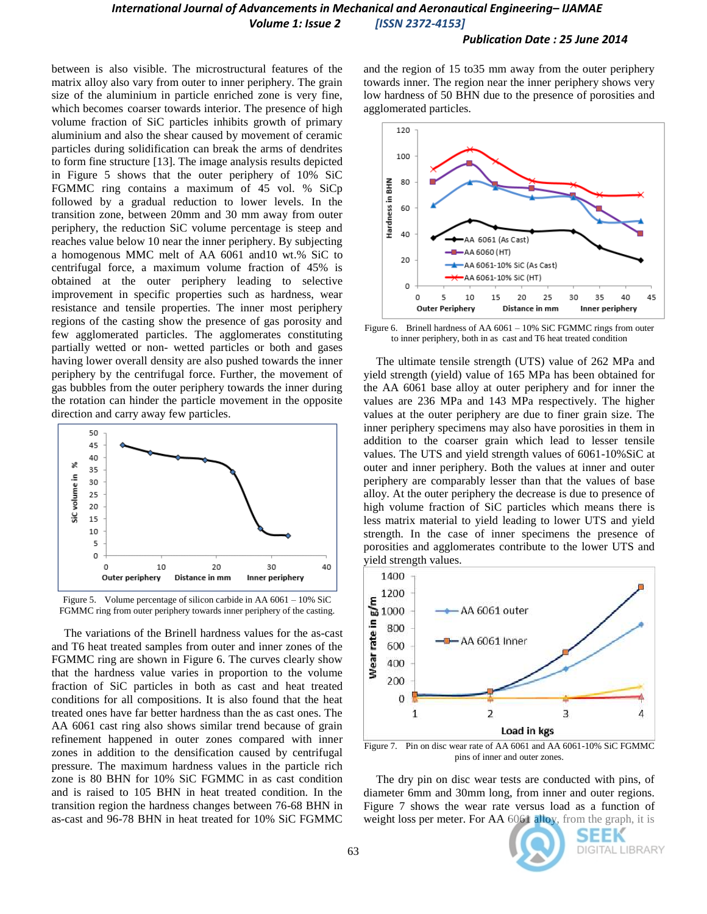#### *Publication Date : 25 June 2014*

between is also visible. The microstructural features of the matrix alloy also vary from outer to inner periphery. The grain size of the aluminium in particle enriched zone is very fine, which becomes coarser towards interior. The presence of high volume fraction of SiC particles inhibits growth of primary aluminium and also the shear caused by movement of ceramic particles during solidification can break the arms of dendrites to form fine structure [13]. The image analysis results depicted in Figure 5 shows that the outer periphery of 10% SiC FGMMC ring contains a maximum of 45 vol. % SiCp followed by a gradual reduction to lower levels. In the transition zone, between 20mm and 30 mm away from outer periphery, the reduction SiC volume percentage is steep and reaches value below 10 near the inner periphery. By subjecting a homogenous MMC melt of AA 6061 and10 wt.% SiC to centrifugal force, a maximum volume fraction of 45% is obtained at the outer periphery leading to selective improvement in specific properties such as hardness, wear resistance and tensile properties. The inner most periphery regions of the casting show the presence of gas porosity and few agglomerated particles. The agglomerates constituting partially wetted or non- wetted particles or both and gases having lower overall density are also pushed towards the inner periphery by the centrifugal force. Further, the movement of gas bubbles from the outer periphery towards the inner during the rotation can hinder the particle movement in the opposite direction and carry away few particles.



Figure 5. Volume percentage of silicon carbide in AA 6061 – 10% SiC FGMMC ring from outer periphery towards inner periphery of the casting.

The variations of the Brinell hardness values for the as-cast and T6 heat treated samples from outer and inner zones of the FGMMC ring are shown in Figure 6. The curves clearly show that the hardness value varies in proportion to the volume fraction of SiC particles in both as cast and heat treated conditions for all compositions. It is also found that the heat treated ones have far better hardness than the as cast ones. The AA 6061 cast ring also shows similar trend because of grain refinement happened in outer zones compared with inner zones in addition to the densification caused by centrifugal pressure. The maximum hardness values in the particle rich zone is 80 BHN for 10% SiC FGMMC in as cast condition and is raised to 105 BHN in heat treated condition. In the transition region the hardness changes between 76-68 BHN in as-cast and 96-78 BHN in heat treated for 10% SiC FGMMC and the region of 15 to35 mm away from the outer periphery towards inner. The region near the inner periphery shows very low hardness of 50 BHN due to the presence of porosities and agglomerated particles.



Figure 6. Brinell hardness of AA 6061 – 10% SiC FGMMC rings from outer to inner periphery, both in as cast and T6 heat treated condition

The ultimate tensile strength (UTS) value of 262 MPa and yield strength (yield) value of 165 MPa has been obtained for the AA 6061 base alloy at outer periphery and for inner the values are 236 MPa and 143 MPa respectively. The higher values at the outer periphery are due to finer grain size. The inner periphery specimens may also have porosities in them in addition to the coarser grain which lead to lesser tensile values. The UTS and yield strength values of 6061-10%SiC at outer and inner periphery. Both the values at inner and outer periphery are comparably lesser than that the values of base alloy. At the outer periphery the decrease is due to presence of high volume fraction of SiC particles which means there is less matrix material to yield leading to lower UTS and yield strength. In the case of inner specimens the presence of porosities and agglomerates contribute to the lower UTS and yield strength values.



pins of inner and outer zones.

The dry pin on disc wear tests are conducted with pins, of diameter 6mm and 30mm long, from inner and outer regions. Figure 7 shows the wear rate versus load as a function of weight loss per meter. For AA 6061 alloy, from the graph, it is

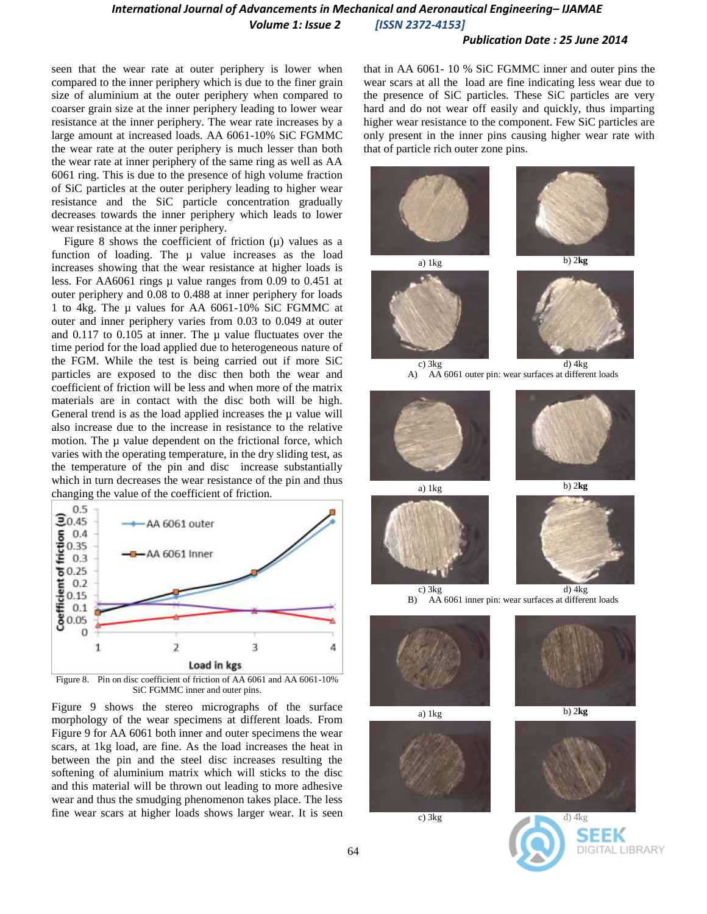#### *Publication Date : 25 June 2014*

seen that the wear rate at outer periphery is lower when compared to the inner periphery which is due to the finer grain size of aluminium at the outer periphery when compared to coarser grain size at the inner periphery leading to lower wear resistance at the inner periphery. The wear rate increases by a large amount at increased loads. AA 6061-10% SiC FGMMC the wear rate at the outer periphery is much lesser than both the wear rate at inner periphery of the same ring as well as AA 6061 ring. This is due to the presence of high volume fraction of SiC particles at the outer periphery leading to higher wear resistance and the SiC particle concentration gradually decreases towards the inner periphery which leads to lower wear resistance at the inner periphery.

Figure 8 shows the coefficient of friction  $(\mu)$  values as a function of loading. The  $\mu$  value increases as the load increases showing that the wear resistance at higher loads is less. For AA6061 rings µ value ranges from 0.09 to 0.451 at outer periphery and 0.08 to 0.488 at inner periphery for loads 1 to 4kg. The µ values for AA 6061-10% SiC FGMMC at outer and inner periphery varies from 0.03 to 0.049 at outer and 0.117 to 0.105 at inner. The  $\mu$  value fluctuates over the time period for the load applied due to heterogeneous nature of the FGM. While the test is being carried out if more SiC particles are exposed to the disc then both the wear and coefficient of friction will be less and when more of the matrix materials are in contact with the disc both will be high. General trend is as the load applied increases the  $\mu$  value will also increase due to the increase in resistance to the relative motion. The  $\mu$  value dependent on the frictional force, which varies with the operating temperature, in the dry sliding test, as the temperature of the pin and disc increase substantially which in turn decreases the wear resistance of the pin and thus changing the value of the coefficient of friction.



Figure 8. Pin on disc coefficient of friction of AA 6061 and AA 6061-10% SiC FGMMC inner and outer pins.

Figure 9 shows the stereo micrographs of the surface morphology of the wear specimens at different loads. From Figure 9 for AA 6061 both inner and outer specimens the wear scars, at 1kg load, are fine. As the load increases the heat in between the pin and the steel disc increases resulting the softening of aluminium matrix which will sticks to the disc and this material will be thrown out leading to more adhesive wear and thus the smudging phenomenon takes place. The less fine wear scars at higher loads shows larger wear. It is seen

that in AA 6061- 10 % SiC FGMMC inner and outer pins the wear scars at all the load are fine indicating less wear due to the presence of SiC particles. These SiC particles are very hard and do not wear off easily and quickly, thus imparting higher wear resistance to the component. Few SiC particles are only present in the inner pins causing higher wear rate with that of particle rich outer zone pins.